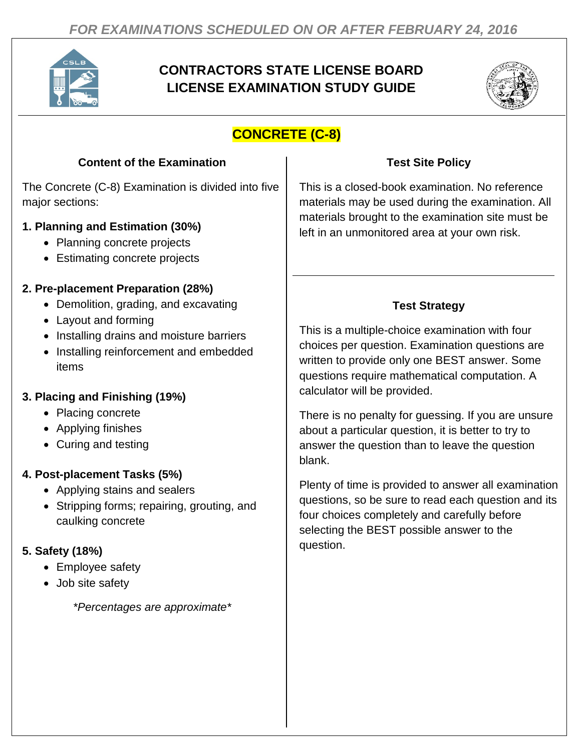

# **CONTRACTORS STATE LICENSE BOARD LICENSE EXAMINATION STUDY GUIDE**



# **CONCRETE (C-8)**

#### **Content of the Examination**

The Concrete (C-8) Examination is divided into five major sections:

#### **1. Planning and Estimation (30%)**

- Planning concrete projects
- Estimating concrete projects

#### **2. Pre-placement Preparation (28%)**

- Demolition, grading, and excavating
- Layout and forming
- Installing drains and moisture barriers
- Installing reinforcement and embedded items

#### **3. Placing and Finishing (19%)**

- Placing concrete
- Applying finishes
- Curing and testing

#### **4. Post-placement Tasks (5%)**

- Applying stains and sealers
- Stripping forms; repairing, grouting, and caulking concrete

#### **5. Safety (18%)**

- Employee safety
- Job site safety

*\*Percentages are approximate\**

#### **Test Site Policy**

This is a closed-book examination. No reference materials may be used during the examination. All materials brought to the examination site must be left in an unmonitored area at your own risk.

### **Test Strategy**

This is a multiple-choice examination with four choices per question. Examination questions are written to provide only one BEST answer. Some questions require mathematical computation. A calculator will be provided.

There is no penalty for guessing. If you are unsure about a particular question, it is better to try to answer the question than to leave the question blank.

Plenty of time is provided to answer all examination questions, so be sure to read each question and its four choices completely and carefully before selecting the BEST possible answer to the question.